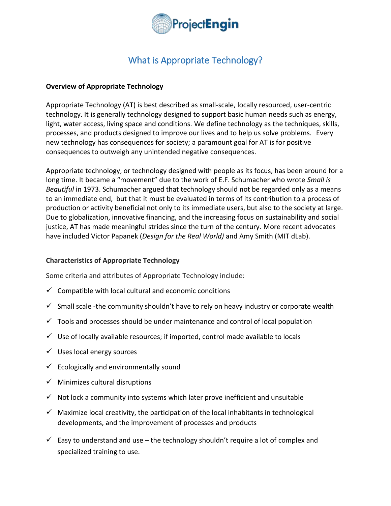

# What is Appropriate Technology?

# **Overview of Appropriate Technology**

Appropriate Technology (AT) is best described as small-scale, locally resourced, user-centric technology. It is generally technology designed to support basic human needs such as energy, light, water access, living space and conditions. We define technology as the techniques, skills, processes, and products designed to improve our lives and to help us solve problems. Every new technology has consequences for society; a paramount goal for AT is for positive consequences to outweigh any unintended negative consequences.

Appropriate technology, or technology designed with people as its focus, has been around for a long time. It became a "movement" due to the work of E.F. Schumacher who wrote *Small is Beautiful* in 1973. Schumacher argued that technology should not be regarded only as a means to an immediate end, but that it must be evaluated in terms of its contribution to a process of production or activity beneficial not only to its immediate users, but also to the society at large. Due to globalization, innovative financing, and the increasing focus on sustainability and social justice, AT has made meaningful strides since the turn of the century. More recent advocates have included Victor Papanek (*Design for the Real World)* and Amy Smith (MIT dLab).

## **Characteristics of Appropriate Technology**

Some criteria and attributes of Appropriate Technology include:

- $\checkmark$  Compatible with local cultural and economic conditions
- $\checkmark$  Small scale -the community shouldn't have to rely on heavy industry or corporate wealth
- $\checkmark$  Tools and processes should be under maintenance and control of local population
- $\checkmark$  Use of locally available resources; if imported, control made available to locals
- $\checkmark$  Uses local energy sources
- $\checkmark$  Ecologically and environmentally sound
- $\checkmark$  Minimizes cultural disruptions
- $\checkmark$  Not lock a community into systems which later prove inefficient and unsuitable
- $\checkmark$  Maximize local creativity, the participation of the local inhabitants in technological developments, and the improvement of processes and products
- $\checkmark$  Easy to understand and use the technology shouldn't require a lot of complex and specialized training to use.